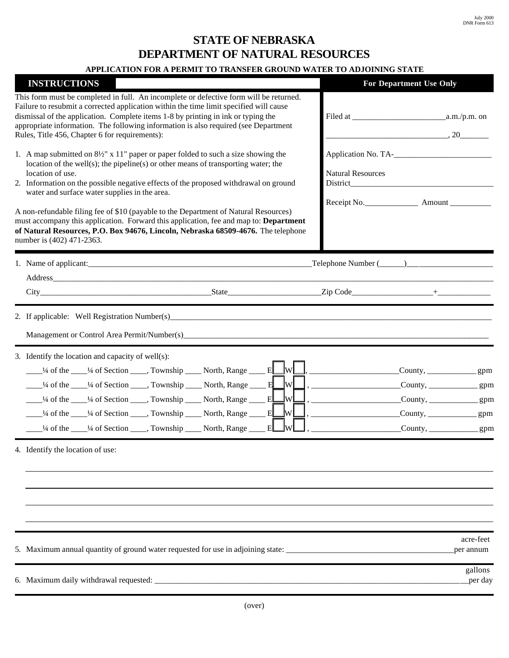## **STATE OF NEBRASKA DEPARTMENT OF NATURAL RESOURCES**

## **APPLICATION FOR A PERMIT TO TRANSFER GROUND WATER TO ADJOINING STATE**

| <b>INSTRUCTIONS</b>                                                                                                                                                                                                                                                                                                                                                                                                                                                                                                                                      | <b>For Department Use Only</b>                                                                                                                                                                                     |
|----------------------------------------------------------------------------------------------------------------------------------------------------------------------------------------------------------------------------------------------------------------------------------------------------------------------------------------------------------------------------------------------------------------------------------------------------------------------------------------------------------------------------------------------------------|--------------------------------------------------------------------------------------------------------------------------------------------------------------------------------------------------------------------|
| This form must be completed in full. An incomplete or defective form will be returned.<br>Failure to resubmit a corrected application within the time limit specified will cause<br>dismissal of the application. Complete items 1-8 by printing in ink or typing the<br>appropriate information. The following information is also required (see Department<br>Rules, Title 456, Chapter 6 for requirements):                                                                                                                                           |                                                                                                                                                                                                                    |
| 1. A map submitted on $8\frac{1}{2}$ " x 11" paper or paper folded to such a size showing the<br>location of the well(s); the pipeline(s) or other means of transporting water; the<br>location of use.<br>2. Information on the possible negative effects of the proposed withdrawal on ground<br>water and surface water supplies in the area.                                                                                                                                                                                                         | <b>Natural Resources</b><br><b>District</b>                                                                                                                                                                        |
| A non-refundable filing fee of \$10 (payable to the Department of Natural Resources)<br>must accompany this application. Forward this application, fee and map to: Department<br>of Natural Resources, P.O. Box 94676, Lincoln, Nebraska 68509-4676. The telephone<br>number is (402) 471-2363.                                                                                                                                                                                                                                                          |                                                                                                                                                                                                                    |
| 1. Name of applicant:                                                                                                                                                                                                                                                                                                                                                                                                                                                                                                                                    | $\text{Telephone Number } (\_\_\_\_\_\_\_\_\_\$                                                                                                                                                                    |
| Address and the state of the state of the state of the state of the state of the state of the state of the state of the state of the state of the state of the state of the state of the state of the state of the state of th<br>City State Zip Code +                                                                                                                                                                                                                                                                                                  |                                                                                                                                                                                                                    |
|                                                                                                                                                                                                                                                                                                                                                                                                                                                                                                                                                          |                                                                                                                                                                                                                    |
| 3. Identify the location and capacity of well(s):<br><sup>1/4</sup> of the 1/4 of Section _____, Township _____ North, Range _____ E___W<br>$\frac{1}{4}$ of the $\frac{1}{4}$ of Section $\frac{1}{4}$ . Township $\frac{1}{4}$ North, Range $\frac{1}{4}$ E W<br>wL<br><sup>1/4</sup> of the 1/4 of Section _____, Township _____ North, Range _____ E<br>.lwl<br><sup>1/4</sup> of the 1/4 of Section 1, Township 1, North, Range<br>E<br>$\frac{1}{4}$ of the $\frac{1}{4}$ of Section $\frac{1}{4}$ , Township $\frac{1}{4}$ North, Range<br>E<br>W | $C$ ounty, _______________gpm<br>$C$ ounty, ________________gpm<br>$\text{Country}, \underline{\qquad \qquad \qquad}$<br>$\text{Country}, \underline{\qquad \qquad \qquad}$<br>$C$ ounty, $\_\_\_\_\_\_\_\_\_$ gpm |
| 4. Identify the location of use:                                                                                                                                                                                                                                                                                                                                                                                                                                                                                                                         |                                                                                                                                                                                                                    |
|                                                                                                                                                                                                                                                                                                                                                                                                                                                                                                                                                          | acre-feet<br>per annum                                                                                                                                                                                             |
|                                                                                                                                                                                                                                                                                                                                                                                                                                                                                                                                                          | gallons<br>per day                                                                                                                                                                                                 |